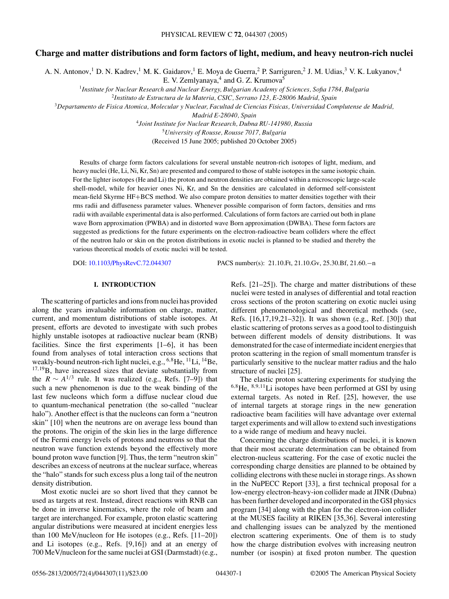# **Charge and matter distributions and form factors of light, medium, and heavy neutron-rich nuclei**

A. N. Antonov,<sup>1</sup> D. N. Kadrev,<sup>1</sup> M. K. Gaidarov,<sup>1</sup> E. Moya de Guerra,<sup>2</sup> P. Sarriguren,<sup>2</sup> J. M. Udias,<sup>3</sup> V. K. Lukyanov,<sup>4</sup>

E. V. Zemlyanaya, $4$  and G. Z. Krumova<sup>5</sup>

<sup>1</sup>*Institute for Nuclear Research and Nuclear Energy, Bulgarian Academy of Sciences, Sofia 1784, Bulgaria*

<sup>2</sup>*Instituto de Estructura de la Materia, CSIC, Serrano 123, E-28006 Madrid, Spain*

<sup>3</sup>*Departamento de Fisica Atomica, Molecular y Nuclear, Facultad de Ciencias Fisicas, Universidad Complutense de Madrid,*

*Madrid E-28040, Spain*

<sup>4</sup>*Joint Institute for Nuclear Research, Dubna RU-141980, Russia* <sup>5</sup>*University of Rousse, Rousse 7017, Bulgaria* (Received 15 June 2005; published 20 October 2005)

Results of charge form factors calculations for several unstable neutron-rich isotopes of light, medium, and heavy nuclei (He, Li, Ni, Kr, Sn) are presented and compared to those of stable isotopes in the same isotopic chain. For the lighter isotopes (He and Li) the proton and neutron densities are obtained within a microscopic large-scale shell-model, while for heavier ones Ni, Kr, and Sn the densities are calculated in deformed self-consistent mean-field Skyrme HF+BCS method. We also compare proton densities to matter densities together with their rms radii and diffuseness parameter values. Whenever possible comparison of form factors, densities and rms radii with available experimental data is also performed. Calculations of form factors are carried out both in plane wave Born approximation (PWBA) and in distorted wave Born approximation (DWBA). These form factors are suggested as predictions for the future experiments on the electron-radioactive beam colliders where the effect of the neutron halo or skin on the proton distributions in exotic nuclei is planned to be studied and thereby the various theoretical models of exotic nuclei will be tested.

DOI: [10.1103/PhysRevC.72.044307](http://dx.doi.org/10.1103/PhysRevC.72.044307) PACS number(s): 21.10.Ft, 21.10.Gv, 25.30.Bf, 21.60.−n

### **I. INTRODUCTION**

The scattering of particles and ions from nuclei has provided along the years invaluable information on charge, matter, current, and momentum distributions of stable isotopes. At present, efforts are devoted to investigate with such probes highly unstable isotopes at radioactive nuclear beam (RNB) facilities. Since the first experiments [1–6], it has been found from analyses of total interaction cross sections that weakly-bound neutron-rich light nuclei, e.g., <sup>6</sup>*,*8He, 11Li, 14Be, <sup>17</sup>*,*19B, have increased sizes that deviate substantially from the  $R \sim A^{1/3}$  rule. It was realized (e.g., Refs. [7–9]) that such a new phenomenon is due to the weak binding of the last few nucleons which form a diffuse nuclear cloud due to quantum-mechanical penetration (the so-called "nuclear halo"). Another effect is that the nucleons can form a "neutron skin" [10] when the neutrons are on average less bound than the protons. The origin of the skin lies in the large difference of the Fermi energy levels of protons and neutrons so that the neutron wave function extends beyond the effectively more bound proton wave function [9]. Thus, the term "neutron skin" describes an excess of neutrons at the nuclear surface, whereas the "halo" stands for such excess plus a long tail of the neutron density distribution.

Most exotic nuclei are so short lived that they cannot be used as targets at rest. Instead, direct reactions with RNB can be done in inverse kinematics, where the role of beam and target are interchanged. For example, proton elastic scattering angular distributions were measured at incident energies less than 100 MeV/nucleon for He isotopes (e.g., Refs. [11–20]) and Li isotopes (e.g., Refs. [9,16]) and at an energy of 700 MeV/nucleon for the same nuclei at GSI (Darmstadt) (e.g.,

Refs. [21–25]). The charge and matter distributions of these nuclei were tested in analyses of differential and total reaction cross sections of the proton scattering on exotic nuclei using different phenomenological and theoretical methods (see, Refs. [16,17,19,21–32]). It was shown (e.g., Ref. [30]) that elastic scattering of protons serves as a good tool to distinguish between different models of density distributions. It was demonstrated for the case of intermediate incident energies that proton scattering in the region of small momentum transfer is particularly sensitive to the nuclear matter radius and the halo structure of nuclei [25].

The elastic proton scattering experiments for studying the <sup>6</sup>*,*8He, <sup>8</sup>*,*9*,*11Li isotopes have been performed at GSI by using external targets. As noted in Ref. [25], however, the use of internal targets at storage rings in the new generation radioactive beam facilities will have advantage over external target experiments and will allow to extend such investigations to a wide range of medium and heavy nuclei.

Concerning the charge distributions of nuclei, it is known that their most accurate determination can be obtained from electron-nucleus scattering. For the case of exotic nuclei the corresponding charge densities are planned to be obtained by colliding electrons with these nuclei in storage rings. As shown in the NuPECC Report [33], a first technical proposal for a low-energy electron-heavy-ion collider made at JINR (Dubna) has been further developed and incorporated in the GSI physics program [34] along with the plan for the electron-ion collider at the MUSES facility at RIKEN [35,36]. Several interesting and challenging issues can be analyzed by the mentioned electron scattering experiments. One of them is to study how the charge distribution evolves with increasing neutron number (or isospin) at fixed proton number. The question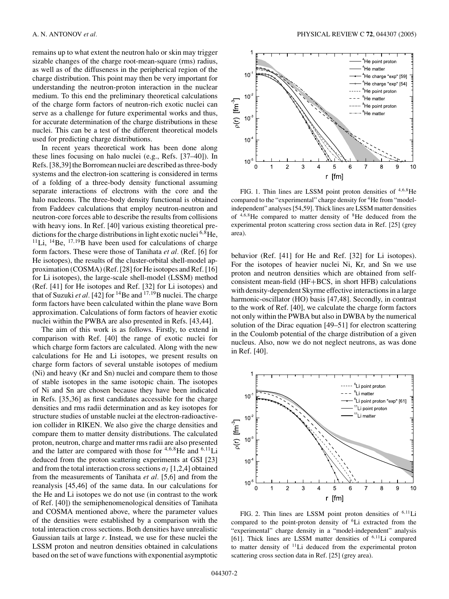remains up to what extent the neutron halo or skin may trigger sizable changes of the charge root-mean-square (rms) radius, as well as of the diffuseness in the peripherical region of the charge distribution. This point may then be very important for understanding the neutron-proton interaction in the nuclear medium. To this end the preliminary theoretical calculations of the charge form factors of neutron-rich exotic nuclei can serve as a challenge for future experimental works and thus, for accurate determination of the charge distributions in these nuclei. This can be a test of the different theoretical models used for predicting charge distributions.

In recent years theoretical work has been done along these lines focusing on halo nuclei (e.g., Refs. [37–40]). In Refs. [38,39] the Borromean nuclei are described as three-body systems and the electron-ion scattering is considered in terms of a folding of a three-body density functional assuming separate interactions of electrons with the core and the halo nucleons. The three-body density functional is obtained from Faddeev calculations that employ neutron-neutron and neutron-core forces able to describe the results from collisions with heavy ions. In Ref. [40] various existing theoretical predictions for the charge distributions in light exotic nuclei <sup>6</sup>*,*8He,  $11$ Li,  $14$ Be,  $17,19$ B have been used for calculations of charge form factors. These were those of Tanihata *et al.* (Ref. [6] for He isotopes), the results of the cluster-orbital shell-model approximation (COSMA) (Ref. [28] for He isotopes and Ref. [16] for Li isotopes), the large-scale shell-model (LSSM) method (Ref. [41] for He isotopes and Ref. [32] for Li isotopes) and that of Suzuki *et al.* [42] for 14Be and <sup>17</sup>*,*19B nuclei. The charge form factors have been calculated within the plane wave Born approximation. Calculations of form factors of heavier exotic nuclei within the PWBA are also presented in Refs. [43,44].

The aim of this work is as follows. Firstly, to extend in comparison with Ref. [40] the range of exotic nuclei for which charge form factors are calculated. Along with the new calculations for He and Li isotopes, we present results on charge form factors of several unstable isotopes of medium (Ni) and heavy (Kr and Sn) nuclei and compare them to those of stable isotopes in the same isotopic chain. The isotopes of Ni and Sn are chosen because they have been indicated in Refs. [35,36] as first candidates accessible for the charge densities and rms radii determination and as key isotopes for structure studies of unstable nuclei at the electron-radioactiveion collider in RIKEN. We also give the charge densities and compare them to matter density distributions. The calculated proton, neutron, charge and matter rms radii are also presented and the latter are compared with those for <sup>4</sup>*,*6*,*8He and <sup>6</sup>*,*11Li deduced from the proton scattering experiments at GSI [23] and from the total interaction cross sections  $\sigma_I$  [1,2,4] obtained from the measurements of Tanihata *et al.* [5,6] and from the reanalysis [45,46] of the same data. In our calculations for the He and Li isotopes we do not use (in contrast to the work of Ref. [40]) the semiphenomenological densities of Tanihata and COSMA mentioned above, where the parameter values of the densities were established by a comparison with the total interaction cross sections. Both densities have unrealistic Gaussian tails at large *r*. Instead, we use for these nuclei the LSSM proton and neutron densities obtained in calculations based on the set of wave functions with exponential asymptotic



FIG. 1. Thin lines are LSSM point proton densities of <sup>4</sup>*,*6*,*8He compared to the "experimental" charge density for 4He from "modelindependent" analyses [54,59]. Thick lines are LSSM matter densities of <sup>4</sup>*,*6*,*8He compared to matter density of 8He deduced from the experimental proton scattering cross section data in Ref. [25] (grey area).

behavior (Ref. [41] for He and Ref. [32] for Li isotopes). For the isotopes of heavier nuclei Ni, Kr, and Sn we use proton and neutron densities which are obtained from selfconsistent mean-field (HF+BCS, in short HFB) calculations with density-dependent Skyrme effective interactions in a large harmonic-oscillator (HO) basis [47,48]. Secondly, in contrast to the work of Ref. [40], we calculate the charge form factors not only within the PWBA but also in DWBA by the numerical solution of the Dirac equation [49–51] for electron scattering in the Coulomb potential of the charge distribution of a given nucleus. Also, now we do not neglect neutrons, as was done in Ref. [40].



FIG. 2. Thin lines are LSSM point proton densities of <sup>6</sup>*,*11Li compared to the point-proton density of 6Li extracted from the "experimental" charge density in a "model-independent" analysis [61]. Thick lines are LSSM matter densities of <sup>6</sup>*,*11Li compared to matter density of  $11$ Li deduced from the experimental proton scattering cross section data in Ref. [25] (grey area).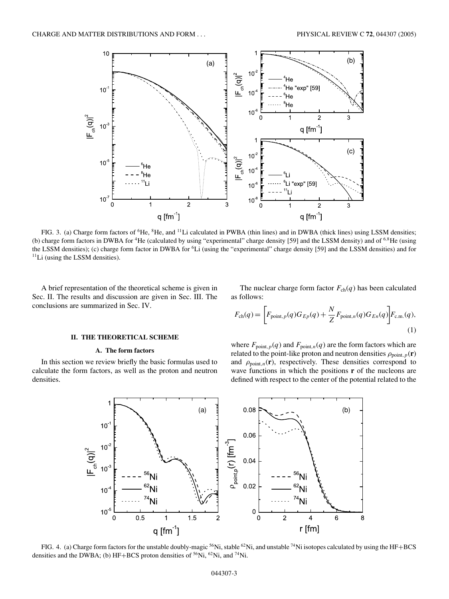

FIG. 3. (a) Charge form factors of <sup>6</sup>He, <sup>8</sup>He, and <sup>11</sup>Li calculated in PWBA (thin lines) and in DWBA (thick lines) using LSSM densities; (b) charge form factors in DWBA for <sup>4</sup>He (calculated by using "experimental" charge density [59] and the LSSM density) and of <sup>6,8</sup>He (using the LSSM densities); (c) charge form factor in DWBA for <sup>6</sup>Li (using the "experimental" charge density [59] and the LSSM densities) and for <sup>11</sup>Li (using the LSSM densities).

A brief representation of the theoretical scheme is given in Sec. II. The results and discussion are given in Sec. III. The conclusions are summarized in Sec. IV.

The nuclear charge form factor  $F_{ch}(q)$  has been calculated as follows:

 $\frac{N}{Z}F_{\text{point},n}(q)G_{En}(q)\bigg]F_{\text{c.m.}}(q),$ 

(1)

 $F_{\text{ch}}(q) = \left[ F_{\text{point},p}(q) G_{Ep}(q) + \frac{N}{Z} \right]$ 

#### **II. THE THEORETICAL SCHEME**

#### **A. The form factors**

In this section we review briefly the basic formulas used to calculate the form factors, as well as the proton and neutron densities.

where 
$$
F_{\text{point},p}(q)
$$
 and  $F_{\text{point},n}(q)$  are the form factors which are  
related to the point-like proton and neutron densities  $\rho_{\text{point},p}(\mathbf{r})$   
and  $\rho_{\text{point},n}(\mathbf{r})$ , respectively. These densities correspond to

wave functions in which the positions **r** of the nucleons are defined with respect to the center of the potential related to the



FIG. 4. (a) Charge form factors for the unstable doubly-magic <sup>56</sup>Ni, stable <sup>62</sup>Ni, and unstable <sup>74</sup>Ni isotopes calculated by using the HF+BCS densities and the DWBA; (b) HF+BCS proton densities of  $56Ni$ ,  $62Ni$ , and  $74Ni$ .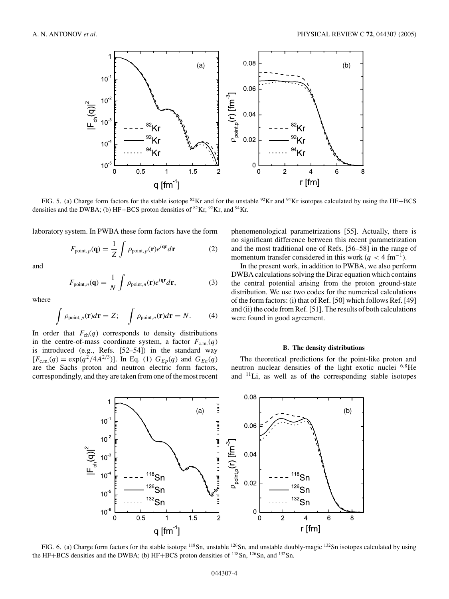

FIG. 5. (a) Charge form factors for the stable isotope  ${}^{82}$ Kr and for the unstable  ${}^{92}$ Kr and  ${}^{94}$ Kr isotopes calculated by using the HF+BCS densities and the DWBA; (b) HF+BCS proton densities of  ${}^{82}$ Kr,  ${}^{92}$ Kr, and  ${}^{94}$ Kr.

laboratory system. In PWBA these form factors have the form

$$
F_{\text{point},p}(\mathbf{q}) = \frac{1}{Z} \int \rho_{\text{point},p}(\mathbf{r}) e^{i\mathbf{q}\mathbf{r}} d\mathbf{r}
$$
 (2)

and

$$
F_{\text{point},n}(\mathbf{q}) = \frac{1}{N} \int \rho_{\text{point},n}(\mathbf{r}) e^{i\mathbf{q}\mathbf{r}} d\mathbf{r},\tag{3}
$$

where

$$
\int \rho_{\text{point},p}(\mathbf{r})d\mathbf{r} = Z; \quad \int \rho_{\text{point},n}(\mathbf{r})d\mathbf{r} = N. \quad (4)
$$

In order that  $F_{ch}(q)$  corresponds to density distributions in the centre-of-mass coordinate system, a factor  $F_{c.m.}(q)$ is introduced (e.g., Refs. [52–54]) in the standard way  $[F_{c.m.}(q) = \exp(q^2/4A^{2/3})]$ . In Eq. (1)  $G_{Ep}(q)$  and  $G_{En}(q)$ are the Sachs proton and neutron electric form factors, correspondingly, and they are taken from one of the most recent

phenomenological parametrizations [55]. Actually, there is no significant difference between this recent parametrization and the most traditional one of Refs. [56–58] in the range of momentum transfer considered in this work  $(q < 4 \text{ fm}^{-1})$ .

In the present work, in addition to PWBA, we also perform DWBA calculations solving the Dirac equation which contains the central potential arising from the proton ground-state distribution. We use two codes for the numerical calculations of the form factors: (i) that of Ref. [50] which follows Ref. [49] and (ii) the code from Ref. [51]. The results of both calculations were found in good agreement.

# **B. The density distributions**

The theoretical predictions for the point-like proton and neutron nuclear densities of the light exotic nuclei <sup>6</sup>*,*8He and  $11$ Li, as well as of the corresponding stable isotopes



FIG. 6. (a) Charge form factors for the stable isotope  $^{118}$ Sn, unstable  $^{126}$ Sn, and unstable doubly-magic  $^{132}$ Sn isotopes calculated by using the HF+BCS densities and the DWBA; (b) HF+BCS proton densities of  $^{118}$ Sn,  $^{126}$ Sn, and  $^{132}$ Sn.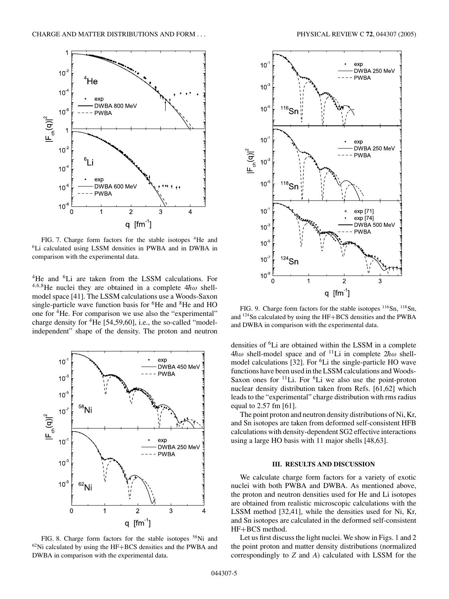

FIG. 7. Charge form factors for the stable isotopes <sup>4</sup>He and 6Li calculated using LSSM densities in PWBA and in DWBA in comparison with the experimental data.

<sup>4</sup>He and <sup>6</sup>Li are taken from the LSSM calculations. For <sup>4,6,8</sup>He nuclei they are obtained in a complete  $4\hbar\omega$  shellmodel space [41]. The LSSM calculations use a Woods-Saxon single-particle wave function basis for <sup>6</sup>He and <sup>8</sup>He and HO one for 4He. For comparison we use also the "experimental" charge density for  ${}^{4}$ He [54,59,60], i.e., the so-called "modelindependent" shape of the density. The proton and neutron



FIG. 8. Charge form factors for the stable isotopes 58Ni and  $62$ Ni calculated by using the HF+BCS densities and the PWBA and DWBA in comparison with the experimental data.



FIG. 9. Charge form factors for the stable isotopes  $^{116}Sn$ ,  $^{118}Sn$ , and 124Sn calculated by using the HF+BCS densities and the PWBA and DWBA in comparison with the experimental data.

densities of 6Li are obtained within the LSSM in a complete  $4\hbar\omega$  shell-model space and of <sup>11</sup>Li in complete  $2\hbar\omega$  shellmodel calculations [32]. For <sup>6</sup>Li the single-particle HO wave functions have been used in the LSSM calculations and Woods-Saxon ones for  $11$ Li. For  $6$ Li we also use the point-proton nuclear density distribution taken from Refs. [61,62] which leads to the "experimental" charge distribution with rms radius equal to 2.57 fm [61].

The point proton and neutron density distributions of Ni, Kr, and Sn isotopes are taken from deformed self-consistent HFB calculations with density-dependent SG2 effective interactions using a large HO basis with 11 major shells [48,63].

# **III. RESULTS AND DISCUSSION**

We calculate charge form factors for a variety of exotic nuclei with both PWBA and DWBA. As mentioned above, the proton and neutron densities used for He and Li isotopes are obtained from realistic microscopic calculations with the LSSM method [32,41], while the densities used for Ni, Kr, and Sn isotopes are calculated in the deformed self-consistent HF+BCS method.

Let us first discuss the light nuclei. We show in Figs. 1 and 2 the point proton and matter density distributions (normalized correspondingly to *Z* and *A*) calculated with LSSM for the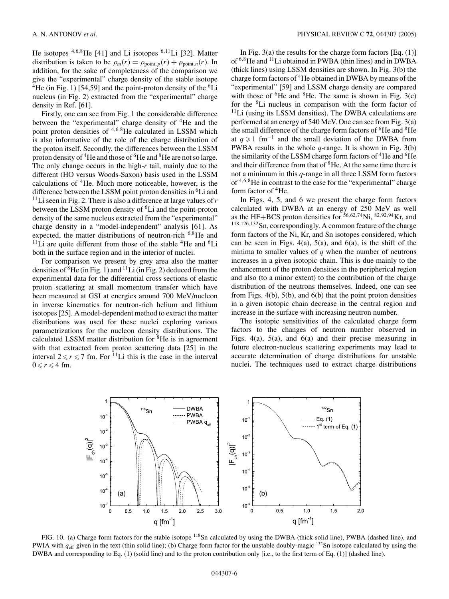He isotopes <sup>4</sup>*,*6*,*8He [41] and Li isotopes <sup>6</sup>*,*11Li [32]. Matter distribution is taken to be  $\rho_m(r) = \rho_{\text{point},p}(r) + \rho_{\text{point},n}(r)$ . In addition, for the sake of completeness of the comparison we give the "experimental" charge density of the stable isotope <sup>4</sup>He (in Fig. 1) [54,59] and the point-proton density of the <sup>6</sup>Li nucleus (in Fig. 2) extracted from the "experimental" charge density in Ref. [61].

Firstly, one can see from Fig. 1 the considerable difference between the "experimental" charge density of <sup>4</sup>He and the point proton densities of <sup>4</sup>*,*6*,*8He calculated in LSSM which is also informative of the role of the charge distribution of the proton itself. Secondly, the differences between the LSSM proton density of <sup>4</sup>He and those of <sup>6</sup>He and <sup>8</sup>He are not so large. The only change occurs in the high-*r* tail, mainly due to the different (HO versus Woods-Saxon) basis used in the LSSM calculations of  ${}^{4}$ He. Much more noticeable, however, is the difference between the LSSM point proton densities in <sup>6</sup>Li and <sup>11</sup>Li seen in Fig. 2. There is also a difference at large values of  $r$ between the LSSM proton density of <sup>6</sup>Li and the point-proton density of the same nucleus extracted from the "experimental" charge density in a "model-independent" analysis [61]. As expected, the matter distributions of neutron-rich <sup>6</sup>*,*8He and  $11$ Li are quite different from those of the stable  $4$ He and  $6$ Li both in the surface region and in the interior of nuclei.

For comparison we present by grey area also the matter densities of  ${}^{8}$ He (in Fig. 1) and  ${}^{11}$ Li (in Fig. 2) deduced from the experimental data for the differential cross sections of elastic proton scattering at small momentum transfer which have been measured at GSI at energies around 700 MeV/nucleon in inverse kinematics for neutron-rich helium and lithium isotopes [25]. A model-dependent method to extract the matter distributions was used for these nuclei exploring various parametrizations for the nucleon density distributions. The calculated LSSM matter distribution for <sup>8</sup>He is in agreement with that extracted from proton scattering data [25] in the interval  $2 \le r \le 7$  fm. For <sup>11</sup>Li this is the case in the interval  $0 \le r \le 4$  fm.

In Fig.  $3(a)$  the results for the charge form factors [Eq. (1)] of <sup>6</sup>*,*8He and 11Li obtained in PWBA (thin lines) and in DWBA (thick lines) using LSSM densities are shown. In Fig. 3(b) the charge form factors of 4He obtained in DWBA by means of the "experimental" [59] and LSSM charge density are compared with those of  ${}^{6}$ He and  ${}^{8}$ He. The same is shown in Fig. 3(c) for the 6Li nucleus in comparison with the form factor of  $11$ Li (using its LSSM densities). The DWBA calculations are performed at an energy of 540 MeV. One can see from Fig. 3(a) the small difference of the charge form factors of <sup>6</sup>He and <sup>8</sup>He at  $q \ge 1$  fm<sup>-1</sup> and the small deviation of the DWBA from PWBA results in the whole *q*-range. It is shown in Fig. 3(b) the similarity of the LSSM charge form factors of <sup>4</sup>He and <sup>6</sup>He and their difference from that of  ${}^{8}$ He. At the same time there is not a minimum in this *q*-range in all three LSSM form factors of <sup>4</sup>*,*6*,*8He in contrast to the case for the "experimental" charge form factor of <sup>4</sup>He.

In Figs. 4, 5, and 6 we present the charge form factors calculated with DWBA at an energy of 250 MeV as well as the HF+BCS proton densities for <sup>56,62,74</sup>Ni, <sup>82,92,94</sup>Kr, and <sup>118</sup>*,*126*,*132Sn, correspondingly. A common feature of the charge form factors of the Ni, Kr, and Sn isotopes considered, which can be seen in Figs.  $4(a)$ ,  $5(a)$ , and  $6(a)$ , is the shift of the minima to smaller values of *q* when the number of neutrons increases in a given isotopic chain. This is due mainly to the enhancement of the proton densities in the peripherical region and also (to a minor extent) to the contribution of the charge distribution of the neutrons themselves. Indeed, one can see from Figs. 4(b), 5(b), and 6(b) that the point proton densities in a given isotopic chain decrease in the central region and increase in the surface with increasing neutron number.

The isotopic sensitivities of the calculated charge form factors to the changes of neutron number observed in Figs. 4(a), 5(a), and 6(a) and their precise measuring in future electron-nucleus scattering experiments may lead to accurate determination of charge distributions for unstable nuclei. The techniques used to extract charge distributions



FIG. 10. (a) Charge form factors for the stable isotope 118Sn calculated by using the DWBA (thick solid line), PWBA (dashed line), and PWIA with  $q_{\text{eff}}$  given in the text (thin solid line); (b) Charge form factor for the unstable doubly-magic  $^{132}$ Sn isotope calculated by using the DWBA and corresponding to Eq. (1) (solid line) and to the proton contribution only [i.e., to the first term of Eq. (1)] (dashed line).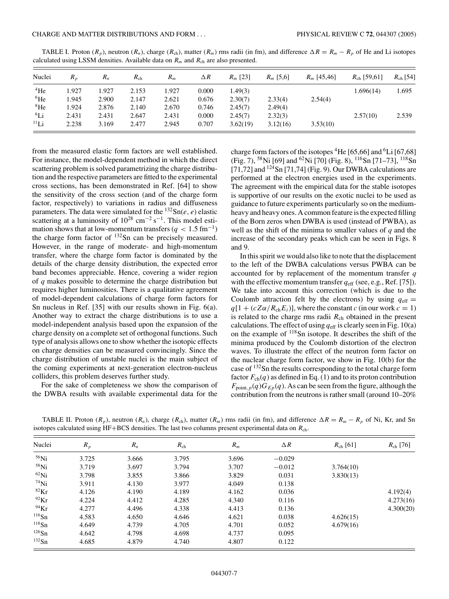|             |         |       |          |       | $\ddotsc$     |            |             |               |                  |               |
|-------------|---------|-------|----------|-------|---------------|------------|-------------|---------------|------------------|---------------|
| Nuclei      | $R_{p}$ | $R_n$ | $R_{ch}$ | $R_m$ | $\triangle R$ | $R_m$ [23] | $R_m$ [5,6] | $R_m$ [45,46] | $R_{ch}$ [59,61] | $R_{ch}$ [54] |
| $4$ He      | 1.927   | 1.927 | 2.153    | 1.927 | 0.000         | 1.49(3)    |             |               | 1.696(14)        | 1.695         |
| ${}^{6}$ He | 1.945   | 2.900 | 2.147    | 2.621 | 0.676         | 2.30(7)    | 2.33(4)     | 2.54(4)       |                  |               |
| ${}^{8}$ He | 1.924   | 2.876 | 2.140    | 2.670 | 0.746         | 2.45(7)    | 2.49(4)     |               |                  |               |
| ${}^6Li$    | 2.431   | 2.431 | 2.647    | 2.431 | 0.000         | 2.45(7)    | 2.32(3)     |               | 2.57(10)         | 2.539         |
| $^{11}Li$   | 2.238   | 3.169 | 2.477    | 2.945 | 0.707         | 3.62(19)   | 3.12(16)    | 3.53(10)      |                  |               |

TABLE I. Proton  $(R_p)$ , neutron  $(R_n)$ , charge  $(R_{ch})$ , matter  $(R_m)$  rms radii (in fm), and difference  $\Delta R = R_m - R_p$  of He and Li isotopes calculated using LSSM densities. Available data on  $R_m$  and  $R_{ch}$  are also presented.

from the measured elastic form factors are well established. For instance, the model-dependent method in which the direct scattering problem is solved parametrizing the charge distribution and the respective parameters are fitted to the experimental cross sections, has been demonstrated in Ref. [64] to show the sensitivity of the cross section (and of the charge form factor, respectively) to variations in radius and diffuseness parameters. The data were simulated for the  $^{132}Sn(e, e)$  elastic scattering at a luminosity of  $10^{28}$  cm<sup>-2</sup> s<sup>-1</sup>. This model estimation shows that at low-momentum transfers ( $q < 1.5$  fm<sup>-1</sup>) the charge form factor of <sup>132</sup>Sn can be precisely measured. However, in the range of moderate- and high-momentum transfer, where the charge form factor is dominated by the details of the charge density distribution, the expected error band becomes appreciable. Hence, covering a wider region of *q* makes possible to determine the charge distribution but requires higher luminosities. There is a qualitative agreement of model-dependent calculations of charge form factors for Sn nucleus in Ref. [35] with our results shown in Fig. 6(a). Another way to extract the charge distributions is to use a model-independent analysis based upon the expansion of the charge density on a complete set of orthogonal functions. Such type of analysis allows one to show whether the isotopic effects on charge densities can be measured convincingly. Since the charge distribution of unstable nuclei is the main subject of the coming experiments at next-generation electron-nucleus colliders, this problem deserves further study.

For the sake of completeness we show the comparison of the DWBA results with available experimental data for the charge form factors of the isotopes <sup>4</sup>He [65,66] and <sup>6</sup>Li [67,68] (Fig. 7), 58Ni [69] and 62Ni [70] (Fig. 8), 116Sn [71–73], 118Sn [71,72] and  $^{124}$ Sn [71,74] (Fig. 9). Our DWBA calculations are performed at the electron energies used in the experiments. The agreement with the empirical data for the stable isotopes is supportive of our results on the exotic nuclei to be used as guidance to future experiments particularly so on the mediumheavy and heavy ones. A common feature is the expected filling of the Born zeros when DWBA is used (instead of PWBA), as well as the shift of the minima to smaller values of *q* and the increase of the secondary peaks which can be seen in Figs. 8 and 9.

In this spirit we would also like to note that the displacement to the left of the DWBA calculations versus PWBA can be accounted for by replacement of the momentum transfer *q* with the effective momentum transfer  $q_{\text{eff}}$  (see, e.g., Ref. [75]). We take into account this correction (which is due to the Coulomb attraction felt by the electrons) by using  $q_{\text{eff}} =$  $q[1 + (cZ\alpha/R_{ch}E_i)]$ , where the constant *c* (in our work  $c = 1$ ) is related to the charge rms radii  $R<sub>ch</sub>$  obtained in the present calculations. The effect of using  $q_{\text{eff}}$  is clearly seen in Fig. 10(a) on the example of 118Sn isotope. It describes the shift of the minima produced by the Coulomb distortion of the electron waves. To illustrate the effect of the neutron form factor on the nuclear charge form factor, we show in Fig. 10(b) for the case of 132Sn the results corresponding to the total charge form factor  $F_{ch}(q)$  as defined in Eq. (1) and to its proton contribution  $F_{\text{point},p}(q)G_{Ep}(q)$ . As can be seen from the figure, although the contribution from the neutrons is rather small (around 10–20%

| Nuclei             | $R_p$ | $R_n$ | $R_{ch}$ | $R_m$ | $\triangle R$ | $R_{ch}$ [61] | $R_{ch}$ [76] |
|--------------------|-------|-------|----------|-------|---------------|---------------|---------------|
| $56$ Ni            | 3.725 | 3.666 | 3.795    | 3.696 | $-0.029$      |               |               |
| $58$ Ni            | 3.719 | 3.697 | 3.794    | 3.707 | $-0.012$      | 3.764(10)     |               |
| ${}^{62}$ Ni       | 3.798 | 3.855 | 3.866    | 3.829 | 0.031         | 3.830(13)     |               |
| $^{74}$ Ni         | 3.911 | 4.130 | 3.977    | 4.049 | 0.138         |               |               |
| ${}^{82}\text{Kr}$ | 4.126 | 4.190 | 4.189    | 4.162 | 0.036         |               | 4.192(4)      |
| $^{92}$ Kr         | 4.224 | 4.412 | 4.285    | 4.340 | 0.116         |               | 4.273(16)     |
| $94$ Kr            | 4.277 | 4.496 | 4.338    | 4.413 | 0.136         |               | 4.300(20)     |
| $116$ Sn           | 4.583 | 4.650 | 4.646    | 4.621 | 0.038         | 4.626(15)     |               |
| 118Sn              | 4.649 | 4.739 | 4.705    | 4.701 | 0.052         | 4.679(16)     |               |
| $126$ Sn           | 4.642 | 4.798 | 4.698    | 4.737 | 0.095         |               |               |
| $132$ Sn           | 4.685 | 4.879 | 4.740    | 4.807 | 0.122         |               |               |

TABLE II. Proton  $(R_p)$ , neutron  $(R_n)$ , charge  $(R_{ch})$ , matter  $(R_m)$  rms radii (in fm), and difference  $\Delta R = R_m - R_p$  of Ni, Kr, and Sn isotopes calculated using HF+BCS densities. The last two columns present experimental data on *R*ch.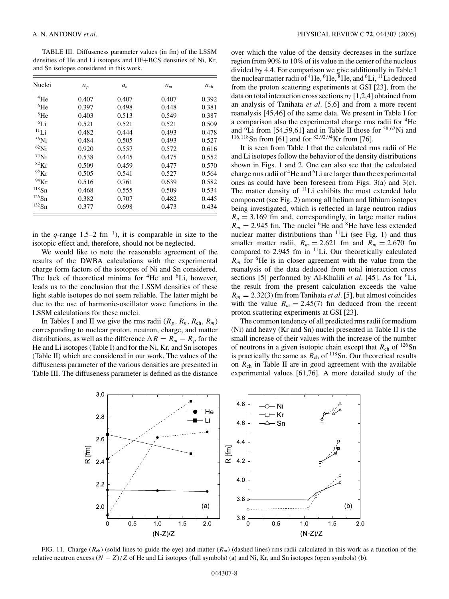TABLE III. Diffuseness parameter values (in fm) of the LSSM densities of He and Li isotopes and HF+BCS densities of Ni, Kr, and Sn isotopes considered in this work.

| Nuclei              | $a_p$ | $a_n$ | $a_m$ | $a_{ch}$ |
|---------------------|-------|-------|-------|----------|
| $4$ He              | 0.407 | 0.407 | 0.407 | 0.392    |
| ${}^{6}$ He         | 0.397 | 0.498 | 0.448 | 0.381    |
| ${}^{8}$ He         | 0.403 | 0.513 | 0.549 | 0.387    |
| $61\,\mathrm{i}$    | 0.521 | 0.521 | 0.521 | 0.509    |
| $^{11}$ Li          | 0.482 | 0.444 | 0.493 | 0.478    |
| $56$ Ni             | 0.484 | 0.505 | 0.493 | 0.527    |
| $^{62}$ Ni          | 0.920 | 0.557 | 0.572 | 0.616    |
| $^{74}$ Ni          | 0.538 | 0.445 | 0.475 | 0.552    |
| ${}^{82}$ Kr        | 0.509 | 0.459 | 0.477 | 0.570    |
| $^{92}$ Kr          | 0.505 | 0.541 | 0.527 | 0.564    |
| $94$ Kr             | 0.516 | 0.761 | 0.639 | 0.582    |
| $^{118}\mathrm{Sn}$ | 0.468 | 0.555 | 0.509 | 0.534    |
| $126$ Sn            | 0.382 | 0.707 | 0.482 | 0.445    |
| $^{132}{\rm Sn}$    | 0.377 | 0.698 | 0.473 | 0.434    |

in the *q*-range 1.5–2 fm<sup>-1</sup>), it is comparable in size to the isotopic effect and, therefore, should not be neglected.

We would like to note the reasonable agreement of the results of the DWBA calculations with the experimental charge form factors of the isotopes of Ni and Sn considered. The lack of theoretical minima for  ${}^{4}$ He and  ${}^{6}$ Li, however, leads us to the conclusion that the LSSM densities of these light stable isotopes do not seem reliable. The latter might be due to the use of harmonic-oscillator wave functions in the LSSM calculations for these nuclei.

In Tables I and II we give the rms radii  $(R_p, R_n, R_{ch}, R_m)$ corresponding to nuclear proton, neutron, charge, and matter distributions, as well as the difference  $\Delta R = R_m - R_p$  for the He and Li isotopes (Table I) and for the Ni, Kr, and Sn isotopes (Table II) which are considered in our work. The values of the diffuseness parameter of the various densities are presented in Table III. The diffuseness parameter is defined as the distance over which the value of the density decreases in the surface region from 90% to 10% of its value in the center of the nucleus divided by 4.4. For comparison we give additionally in Table I the nuclear matter radii of  ${}^{4}$ He,  ${}^{6}$ He,  ${}^{8}$ He, and  ${}^{6}$ Li,  ${}^{11}$ Li deduced from the proton scattering experiments at GSI [23], from the data on total interaction cross sections  $\sigma_I$  [1,2,4] obtained from an analysis of Tanihata *et al.* [5,6] and from a more recent reanalysis [45,46] of the same data. We present in Table I for a comparison also the experimental charge rms radii for 4He and 6Li from [54,59,61] and in Table II those for <sup>58</sup>*,*62Ni and <sup>116</sup>*,*118Sn from [61] and for <sup>82</sup>*,*92*,*94Kr from [76].

It is seen from Table I that the calculated rms radii of He and Li isotopes follow the behavior of the density distributions shown in Figs. 1 and 2. One can also see that the calculated charge rms radii of  ${}^{4}$ He and  ${}^{6}$ Li are larger than the experimental ones as could have been foreseen from Figs. 3(a) and 3(c). The matter density of  $11$ Li exhibits the most extended halo component (see Fig. 2) among all helium and lithium isotopes being investigated, which is reflected in large neutron radius  $R_n = 3.169$  fm and, correspondingly, in large matter radius  $R_m = 2.945$  fm. The nuclei <sup>6</sup>He and <sup>8</sup>He have less extended nuclear matter distributions than  ${}^{11}$ Li (see Fig. 1) and thus smaller matter radii,  $R_m = 2.621$  fm and  $R_m = 2.670$  fm compared to 2.945 fm in  $<sup>11</sup>Li$ . Our theoretically calculated</sup>  $R_m$  for <sup>6</sup>He is in closer agreement with the value from the reanalysis of the data deduced from total interaction cross sections [5] performed by Al-Khalili *et al.* [45]. As for <sup>6</sup>Li, the result from the present calculation exceeds the value  $R_m = 2.32(3)$  fm from Tanihata *et al.* [5], but almost coincides with the value  $R_m = 2.45(7)$  fm deduced from the recent proton scattering experiments at GSI [23].

The common tendency of all predicted rms radii for medium (Ni) and heavy (Kr and Sn) nuclei presented in Table II is the small increase of their values with the increase of the number of neutrons in a given isotopic chain except that  $R_{ch}$  of  $^{126}Sn$ is practically the same as  $R<sub>ch</sub>$  of <sup>118</sup>Sn. Our theoretical results on *R*ch in Table II are in good agreement with the available experimental values [61,76]. A more detailed study of the



FIG. 11. Charge ( $R_{ch}$ ) (solid lines to guide the eye) and matter ( $R_m$ ) (dashed lines) rms radii calculated in this work as a function of the relative neutron excess (*N* − *Z*)*/Z* of He and Li isotopes (full symbols) (a) and Ni, Kr, and Sn isotopes (open symbols) (b).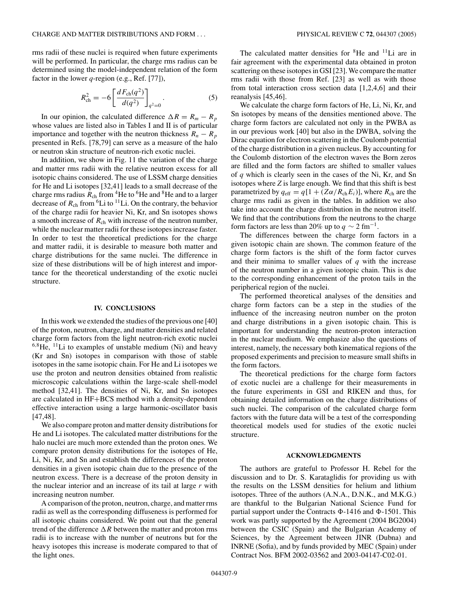rms radii of these nuclei is required when future experiments will be performed. In particular, the charge rms radius can be determined using the model-independent relation of the form factor in the lower *q*-region (e.g., Ref. [77]),

$$
R_{\rm ch}^2 = -6 \left[ \frac{d F_{\rm ch}(q^2)}{d(q^2)} \right]_{q^2=0}.
$$
 (5)

In our opinion, the calculated difference  $\Delta R = R_m - R_p$ whose values are listed also in Tables I and II is of particular importance and together with the neutron thickness  $R_n - R_p$ presented in Refs. [78,79] can serve as a measure of the halo or neutron skin structure of neutron-rich exotic nuclei.

In addition, we show in Fig. 11 the variation of the charge and matter rms radii with the relative neutron excess for all isotopic chains considered. The use of LSSM charge densities for He and Li isotopes [32,41] leads to a small decrease of the charge rms radius  $R_{\rm ch}$  from  $^4{\rm He}$  to  $^6{\rm He}$  and  $^8{\rm He}$  and to a larger decrease of  $R_{ch}$  from <sup>6</sup>Li to <sup>11</sup>Li. On the contrary, the behavior of the charge radii for heavier Ni, Kr, and Sn isotopes shows a smooth increase of *R*ch with increase of the neutron number, while the nuclear matter radii for these isotopes increase faster. In order to test the theoretical predictions for the charge and matter radii, it is desirable to measure both matter and charge distributions for the same nuclei. The difference in size of these distributions will be of high interest and importance for the theoretical understanding of the exotic nuclei structure.

### **IV. CONCLUSIONS**

In this work we extended the studies of the previous one [40] of the proton, neutron, charge, and matter densities and related charge form factors from the light neutron-rich exotic nuclei <sup>6,8</sup>He, <sup>11</sup>Li to examples of unstable medium (Ni) and heavy (Kr and Sn) isotopes in comparison with those of stable isotopes in the same isotopic chain. For He and Li isotopes we use the proton and neutron densities obtained from realistic microscopic calculations within the large-scale shell-model method [32,41]. The densities of Ni, Kr, and Sn isotopes are calculated in HF+BCS method with a density-dependent effective interaction using a large harmonic-oscillator basis [47,48].

We also compare proton and matter density distributions for He and Li isotopes. The calculated matter distributions for the halo nuclei are much more extended than the proton ones. We compare proton density distributions for the isotopes of He, Li, Ni, Kr, and Sn and establish the differences of the proton densities in a given isotopic chain due to the presence of the neutron excess. There is a decrease of the proton density in the nuclear interior and an increase of its tail at large *r* with increasing neutron number.

A comparison of the proton, neutron, charge, and matter rms radii as well as the corresponding diffuseness is performed for all isotopic chains considered. We point out that the general trend of the difference  $\Delta R$  between the matter and proton rms radii is to increase with the number of neutrons but for the heavy isotopes this increase is moderate compared to that of the light ones.

The calculated matter densities for  ${}^{8}$ He and  ${}^{11}$ Li are in fair agreement with the experimental data obtained in proton scattering on these isotopes in GSI [23].We compare the matter rms radii with those from Ref. [23] as well as with those from total interaction cross section data [1,2,4,6] and their reanalysis [45,46].

We calculate the charge form factors of He, Li, Ni, Kr, and Sn isotopes by means of the densities mentioned above. The charge form factors are calculated not only in the PWBA as in our previous work [40] but also in the DWBA, solving the Dirac equation for electron scattering in the Coulomb potential of the charge distribution in a given nucleus. By accounting for the Coulomb distortion of the electron waves the Born zeros are filled and the form factors are shifted to smaller values of *q* which is clearly seen in the cases of the Ni, Kr, and Sn isotopes where *Z* is large enough. We find that this shift is best parametrized by  $q_{\text{eff}} = q[1 + (Z\alpha/R_{\text{ch}}E_i)],$  where  $R_{\text{ch}}$  are the charge rms radii as given in the tables. In addition we also take into account the charge distribution in the neutron itself. We find that the contributions from the neutrons to the charge form factors are less than 20% up to  $q \sim 2$  fm<sup>-1</sup>.

The differences between the charge form factors in a given isotopic chain are shown. The common feature of the charge form factors is the shift of the form factor curves and their minima to smaller values of *q* with the increase of the neutron number in a given isotopic chain. This is due to the corresponding enhancement of the proton tails in the peripherical region of the nuclei.

The performed theoretical analyses of the densities and charge form factors can be a step in the studies of the influence of the increasing neutron number on the proton and charge distributions in a given isotopic chain. This is important for understanding the neutron-proton interaction in the nuclear medium. We emphasize also the questions of interest, namely, the necessary both kinematical regions of the proposed experiments and precision to measure small shifts in the form factors.

The theoretical predictions for the charge form factors of exotic nuclei are a challenge for their measurements in the future experiments in GSI and RIKEN and thus, for obtaining detailed information on the charge distributions of such nuclei. The comparison of the calculated charge form factors with the future data will be a test of the corresponding theoretical models used for studies of the exotic nuclei structure.

# **ACKNOWLEDGMENTS**

The authors are grateful to Professor H. Rebel for the discussion and to Dr. S. Karataglidis for providing us with the results on the LSSM densities for helium and lithium isotopes. Three of the authors (A.N.A., D.N.K., and M.K.G.) are thankful to the Bulgarian National Science Fund for partial support under the Contracts  $\Phi$ -1416 and  $\Phi$ -1501. This work was partly supported by the Agreement (2004 BG2004) between the CSIC (Spain) and the Bulgarian Academy of Sciences, by the Agreement between JINR (Dubna) and INRNE (Sofia), and by funds provided by MEC (Spain) under Contract Nos. BFM 2002-03562 and 2003-04147-C02-01.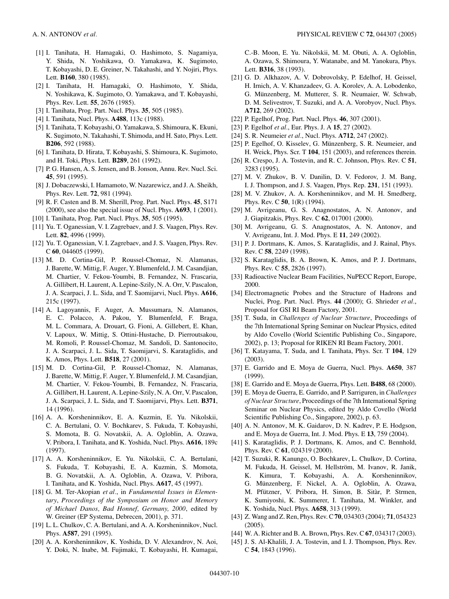- [1] I. Tanihata, H. Hamagaki, O. Hashimoto, S. Nagamiya, Y. Shida, N. Yoshikawa, O. Yamakawa, K. Sugimoto, T. Kobayashi, D. E. Greiner, N. Takahashi, and Y. Nojiri, Phys. Lett. **B160**, 380 (1985).
- [2] I. Tanihata, H. Hamagaki, O. Hashimoto, Y. Shida, N. Yoshikawa, K. Sugimoto, O. Yamakawa, and T. Kobayashi, Phys. Rev. Lett. **55**, 2676 (1985).
- [3] I. Tanihata, Prog. Part. Nucl. Phys. **35**, 505 (1985).
- [4] I. Tanihata, Nucl. Phys. **A488**, 113c (1988).
- [5] I. Tanihata, T. Kobayashi, O. Yamakawa, S. Shimoura, K. Ekuni, K. Sugimoto, N. Takahashi, T. Shimoda, and H. Sato, Phys. Lett. **B206**, 592 (1988).
- [6] I. Tanihata, D. Hirata, T. Kobayashi, S. Shimoura, K. Sugimoto, and H. Toki, Phys. Lett. **B289**, 261 (1992).
- [7] P. G. Hansen, A. S. Jensen, and B. Jonson, Annu. Rev. Nucl. Sci. **45**, 591 (1995).
- [8] J. Dobaczewski, I. Hamamoto, W. Nazarewicz, and J. A. Sheikh, Phys. Rev. Lett. **72**, 981 (1994).
- [9] R. F. Casten and B. M. Sherill, Prog. Part. Nucl. Phys. **45**, S171 (2000), see also the special issue of Nucl. Phys. **A693**, 1 (2001).
- [10] I. Tanihata, Prog. Part. Nucl. Phys. **35**, 505 (1995).
- [11] Yu. T. Oganessian, V. I. Zagrebaev, and J. S. Vaagen, Phys. Rev. Lett. **82**, 4996 (1999).
- [12] Yu. T. Oganessian, V. I. Zagrebaev, and J. S. Vaagen, Phys. Rev. C **60**, 044605 (1999).
- [13] M. D. Cortina-Gil, P. Roussel-Chomaz, N. Alamanas, J. Barette, W. Mittig, F. Auger, Y. Blumenfeld, J. M. Casandjian, M. Chartier, V. Fekou-Youmbi, B. Fernandez, N. Frascaria, A. Gillibert, H. Laurent, A. Lepine-Szily, N. A. Orr, V. Pascalon, J. A. Scarpaci, J. L. Sida, and T. Saomijarvi, Nucl. Phys. **A616**, 215c (1997).
- [14] A. Lagoyannis, F. Auger, A. Mussumara, N. Alamanos, E. C. Polacco, A. Pakou, Y. Blumenfeld, F. Braga, M. L. Commara, A. Drouart, G. Fioni, A. Gillebert, E. Khan, V. Lapoux, W. Mittig, S. Ottini-Hustache, D. Pierroutsakou, M. Romoli, P. Roussel-Chomaz, M. Sandoli, D. Santonocito, J. A. Scarpaci, J. L. Sida, T. Saomijarvi, S. Karataglidis, and K. Amos, Phys. Lett. **B518**, 27 (2001).
- [15] M. D. Cortina-Gil, P. Roussel-Chomaz, N. Alamanas, J. Barette, W. Mittig, F. Auger, Y. Blumenfeld, J. M. Casandjian, M. Chartier, V. Fekou-Youmbi, B. Fernandez, N. Frascaria, A. Gillibert, H. Laurent, A. Lepine-Szily, N. A. Orr, V. Pascalon, J. A. Scarpaci, J. L. Sida, and T. Saomijarvi, Phys. Lett. **B371**, 14 (1996).
- [16] A. A. Korsheninnikov, E. A. Kuzmin, E. Yu. Nikolskii, C. A. Bertulani, O. V. Bochkarev, S. Fukuda, T. Kobayashi, S. Momota, B. G. Novatskii, A. A. Ogloblin, A. Ozawa, V. Pribora, I. Tanihata, and K. Yoshida, Nucl. Phys. **A616**, 189c (1997).
- [17] A. A. Korsheninnikov, E. Yu. Nikolskii, C. A. Bertulani, S. Fukuda, T. Kobayashi, E. A. Kuzmin, S. Momota, B. G. Novatskii, A. A. Ogloblin, A. Ozawa, V. Pribora, I. Tanihata, and K. Yoshida, Nucl. Phys. **A617**, 45 (1997).
- [18] G. M. Ter-Akopian *et al.*, in *Fundamental Issues in Elementary*, *Proceedings of the Symposium on Honor and Memory of Michael Danos, Bad Honnef, Germany, 2000*, edited by W. Greiner (EP Systema, Debrecen, 2001), p. 371.
- [19] L. L. Chulkov, C. A. Bertulani, and A. A. Korsheninnikov, Nucl. Phys. **A587**, 291 (1995).
- [20] A. A. Korsheninnikov, K. Yoshida, D. V. Alexandrov, N. Aoi, Y. Doki, N. Inabe, M. Fujimaki, T. Kobayashi, H. Kumagai,

C.-B. Moon, E. Yu. Nikolskii, M. M. Obuti, A. A. Ogloblin, A. Ozawa, S. Shimoura, Y. Watanabe, and M. Yanokura, Phys. Lett. **B316**, 38 (1993).

- [21] G. D. Alkhazov, A. V. Dobrovolsky, P. Edelhof, H. Geissel, H. Irnich, A. V. Khanzadeev, G. A. Korolev, A. A. Lobodenko, G. Münzenberg, M. Mutterer, S. R. Neumaier, W. Schwab, D. M. Selivestrov, T. Suzuki, and A. A. Vorobyov, Nucl. Phys. **A712**, 269 (2002).
- [22] P. Egelhof, Prog. Part. Nucl. Phys. **46**, 307 (2001).
- [23] P. Egelhof *et al.*, Eur. Phys. J. A **15**, 27 (2002).
- [24] S. R. Neumeier *et al.*, Nucl. Phys. **A712**, 247 (2002).
- [25] P. Egelhof, O. Kisselev, G. Münzenberg, S. R. Neumeier, and H. Weick, Phys. Scr. T **104**, 151 (2003), and references therein.
- [26] R. Crespo, J. A. Tostevin, and R. C. Johnson, Phys. Rev. C **51**, 3283 (1995).
- [27] M. V. Zhukov, B. V. Danilin, D. V. Fedorov, J. M. Bang, I. J. Thompson, and J. S. Vaagen, Phys. Rep. **231**, 151 (1993).
- [28] M. V. Zhukov, A. A. Korsheninnikov, and M. H. Smedberg, Phys. Rev. C **50**, 1(R) (1994).
- [29] M. Avrigeanu, G. S. Anagnostatos, A. N. Antonov, and J. Giapitzakis, Phys. Rev. C **62**, 017001 (2000).
- [30] M. Avrigeanu, G. S. Anagnostatos, A. N. Antonov, and V. Avrigeanu, Int. J. Mod. Phys. E **11**, 249 (2002).
- [31] P. J. Dortmans, K. Amos, S. Karataglidis, and J. Rainal, Phys. Rev. C **58**, 2249 (1998).
- [32] S. Karataglidis, B. A. Brown, K. Amos, and P. J. Dortmans, Phys. Rev. C **55**, 2826 (1997).
- [33] Radioactive Nuclear Beam Facilities, NuPECC Report, Europe, 2000.
- [34] Electromagnetic Probes and the Structure of Hadrons and Nuclei, Prog. Part. Nucl. Phys. **44** (2000); G. Shrieder *et al.*, Proposal for GSI RI Beam Factory, 2001.
- [35] T. Suda, in *Challenges of Nuclear Structure*, Proceedings of the 7th International Spring Seminar on Nuclear Physics, edited by Aldo Covello (World Scientific Publishing Co., Singapore, 2002), p. 13; Proposal for RIKEN RI Beam Factory, 2001.
- [36] T. Katayama, T. Suda, and I. Tanihata, Phys. Scr. T **104**, 129 (2003).
- [37] E. Garrido and E. Moya de Guerra, Nucl. Phys. **A650**, 387 (1999).
- [38] E. Garrido and E. Moya de Guerra, Phys. Lett. **B488**, 68 (2000).
- [39] E. Moya de Guerra, E. Garrido, and P. Sarriguren, in *Challenges of Nuclear Structure*, Proceedings of the 7th International Spring Seminar on Nuclear Physics, edited by Aldo Covello (World Scientific Publishing Co., Singapore, 2002), p. 63.
- [40] A. N. Antonov, M. K. Gaidarov, D. N. Kadrev, P. E. Hodgson, and E. Moya de Guerra, Int. J. Mod. Phys. E **13**, 759 (2004).
- [41] S. Karataglidis, P. J. Dortmans, K. Amos, and C. Bennhold, Phys. Rev. C **61**, 024319 (2000).
- [42] T. Suzuki, R. Kanungo, O. Bochkarev, L. Chulkov, D. Cortina, M. Fukuda, H. Geissel, M. Hellström, M. Ivanov, R. Janik, K. Kimura, T. Kobayashi, A. A. Korsheninnikov, G. Münzenberg, F. Nickel, A. A. Ogloblin, A. Ozawa, M. Pfützner, V. Pribora, H. Simon, B. Sitàr, P. Strmen, K. Sumiyoshi, K. Summerer, I. Tanihata, M. Winkler, and K. Yoshida, Nucl. Phys. **A658**, 313 (1999).
- [43] Z. Wang and Z. Ren, Phys. Rev. C**70**, 034303 (2004); **71**, 054323 (2005).
- [44] W. A. Richter and B. A. Brown, Phys. Rev. C **67**, 034317 (2003).
- [45] J. S. Al-Khalili, J. A. Tostevin, and I. J. Thompson, Phys. Rev. C **54**, 1843 (1996).